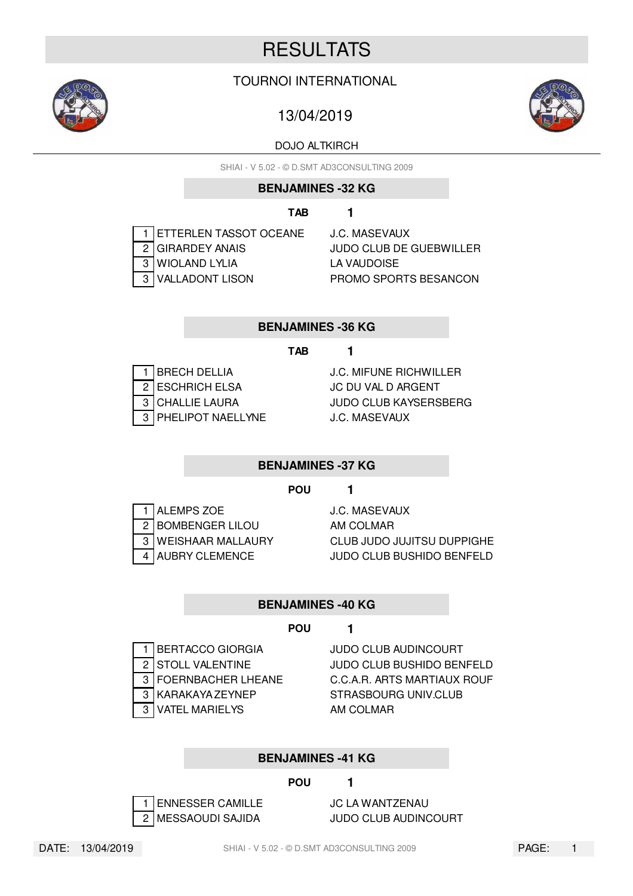# **RESULTATS**

# TOURNOI INTERNATIONAL

# 13/04/2019

# DOJO ALTKIRCH

SHIAI - V 5.02 - © D.SMT AD3CONSULTING 2009

# **BENJAMINES -32 KG**

# **TAB 1**

1 ETTERLEN TASSOT OCEANE J.C. MASEVAUX 2 GIRARDEY ANAIS JUDO CLUB DE GUEBWILLER 3 WIOLAND LYLIA LA VAUDOISE 3 VALLADONT LISON PROMO SPORTS BESANCON

# **BENJAMINES -36 KG**

# **TAB 1**

2 ESCHRICH ELSA JC DU VAL D ARGENT 3 PHELIPOT NAELLYNE J.C. MASEVAUX

1 BRECH DELLIA J.C. MIFUNE RICHWILLER 3 CHALLIE LAURA JUDO CLUB KAYSERSBERG

# **BENJAMINES -37 KG**

# **POU 1**

1 ALEMPS ZOE J.C. MASEVAUX 2 BOMBENGER LILOU AM COLMAR

3 WEISHAAR MALLAURY CLUB JUDO JUJITSU DUPPIGHE 4 AUBRY CLEMENCE JUDO CLUB BUSHIDO BENFELD

# **BENJAMINES -40 KG**

# **POU 1**

- 1 BERTACCO GIORGIA JUDO CLUB AUDINCOURT
- 
- 3 VATEL MARIELYS AM COLMAR

2 STOLL VALENTINE JUDO CLUB BUSHIDO BENFELD 3 FOERNBACHER LHEANE C.C.A.R. ARTS MARTIAUX ROUF 3 KARAKAYA ZEYNEP STRASBOURG UNIV.CLUB

# **BENJAMINES -41 KG**

# **POU 1**

1 ENNESSER CAMILLE JC LA WANTZENAU

2 MESSAOUDI SAJIDA JUDO CLUB AUDINCOURT





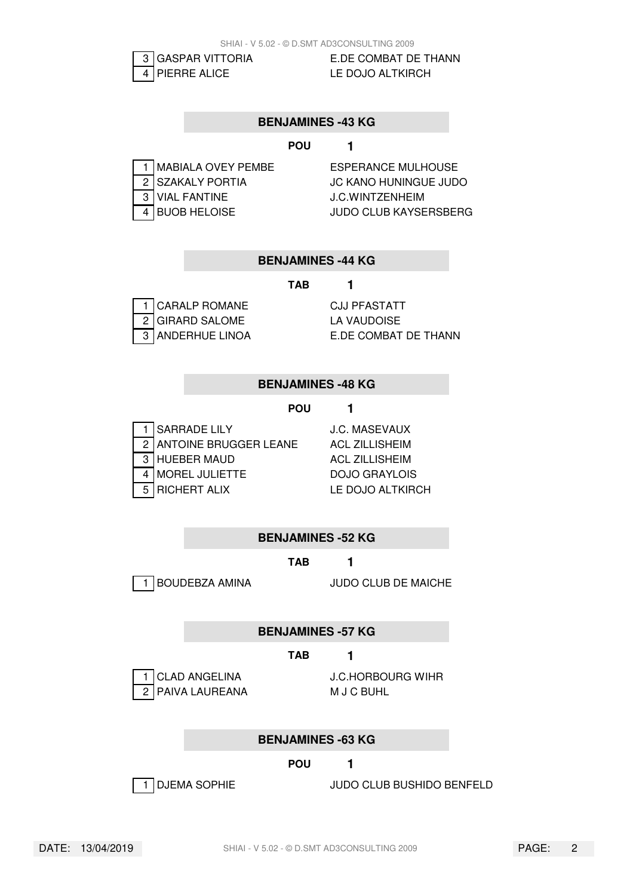

3 GASPAR VITTORIA E.DE COMBAT DE THANN

### **BENJAMINES -43 KG**

#### **POU 1**

| 1 MABIALA OVEY PEMBE |
|----------------------|
| 2 SZAKALY PORTIA     |
| 3 VIAL FANTINE       |
| 4 BUOB HELOISE       |

**ESPERANCE MULHOUSE JC KANO HUNINGUE JUDO J.C.WINTZENHEIM JUDO CLUB KAYSERSBERG** 

#### **BENJAMINES -44 KG**

#### **TAB 1**

| 1 CARALP ROMANE  |
|------------------|
| 2 GIRARD SALOME  |
| 3 ANDERHUE LINOA |

CJJ PFASTATT LA VAUDOISE E.DE COMBAT DE THANN

#### **BENJAMINES -48 KG**

#### **POU 1**

| 1 SARRADE LILY          |
|-------------------------|
| 2 ANTOINE BRUGGER LEANE |
| 3 HUEBER MAUD           |
| <b>MOREL JULIETTE</b>   |
| 5   RICHERT ALIX        |

**J.C. MASEVAUX ACL ZILLISHEIM** ACL ZILLISHEIM DOJO GRAYLOIS LE DOJO ALTKIRCH

**BENJAMINES -52 KG**

#### **TAB 1**

1 BOUDEBZA AMINA JUDO CLUB DE MAICHE

**BENJAMINES -57 KG**

#### **TAB 1**

2 PAIVA LAUREANA M J C BUHL

1 CLAD ANGELINA J.C.HORBOURG WIHR

#### **BENJAMINES -63 KG**

#### **POU 1**



1 DJEMA SOPHIE JUDO CLUB BUSHIDO BENFELD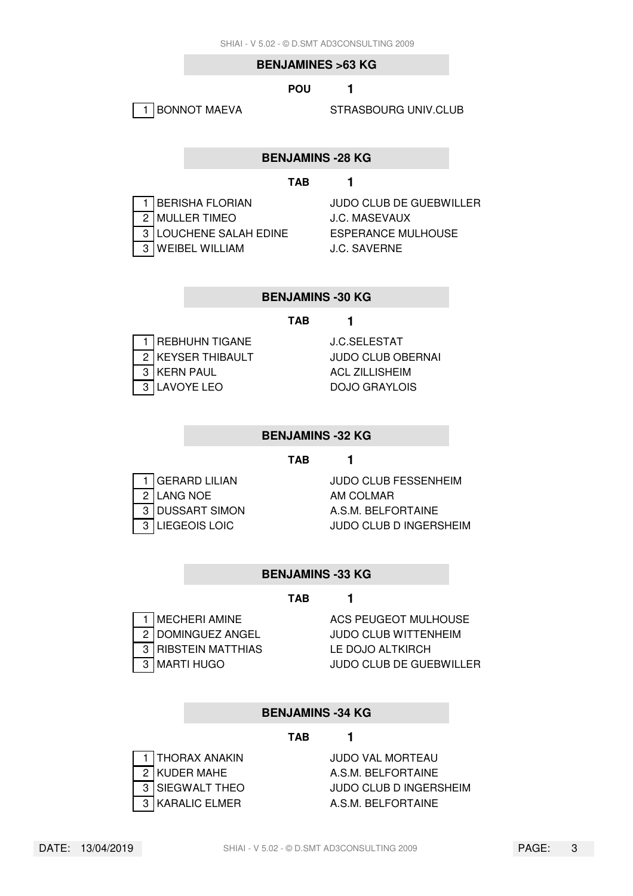#### **BENJAMINES >63 KG**

#### **POU 1**

1 BONNOT MAEVA STRASBOURG UNIV.CLUB

#### **BENJAMINS -28 KG**

#### **TAB 1**

| 1 BERISHA FLORIAN      |
|------------------------|
| 2 MULLER TIMEO         |
| 3 LOUCHENE SALAH EDINE |
| 3 WEIBEL WILLIAM       |

JUDO CLUB DE GUEBWILLER **J.C. MASEVAUX ESPERANCE MULHOUSE** J.C. SAVERNE

#### **BENJAMINS -30 KG**

#### **TAB 1**

| 1   REBHUHN TIGANE |
|--------------------|
| 2 KEYSER THIBAULT  |
| 3 KERN PAUL        |
| 3 LAVOYE LEO       |

**J.C.SELESTAT JUDO CLUB OBERNAI ACL ZILLISHEIM DOJO GRAYLOIS** 

#### **BENJAMINS -32 KG**

#### **TAB 1**

2 LANG NOE AM COLMAR

1 GERARD LILIAN JUDO CLUB FESSENHEIM 3 DUSSART SIMON A.S.M. BELFORTAINE 3 LIEGEOIS LOIC JUDO CLUB D INGERSHEIM

#### **BENJAMINS -33 KG**

#### **TAB 1**

3 RIBSTEIN MATTHIAS LE DOJO ALTKIRCH

1 MECHERI AMINE ACS PEUGEOT MULHOUSE 2 DOMINGUEZ ANGEL JUDO CLUB WITTENHEIM 3 MARTI HUGO JUDO CLUB DE GUEBWILLER

#### **BENJAMINS -34 KG**

#### **TAB 1**

1 THORAX ANAKIN JUDO VAL MORTEAU

2 KUDER MAHE A.S.M. BELFORTAINE 3 SIEGWALT THEO JUDO CLUB D INGERSHEIM 3 KARALIC ELMER A.S.M. BELFORTAINE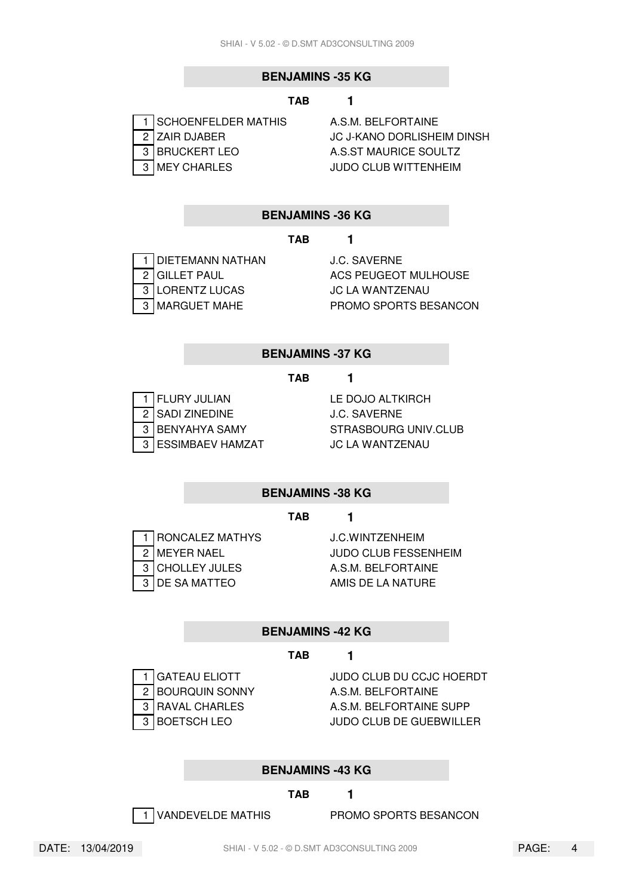### **BENJAMINS -35 KG**

#### **TAB 1**

| 1   SCHOENFELDER MATHIS |
|-------------------------|
| 2 ZAIR DJABER           |
| 3   BRUCKERT LEO        |
| 3   MEY CHARLES         |

A.S.M. BELFORTAINE **JC J-KANO DORLISHEIM DINSH** A.S.ST MAURICE SOULTZ **JUDO CLUB WITTENHEIM** 

#### **BENJAMINS -36 KG**

#### **TAB 1**

1 DIETEMANN NATHAN J.C. SAVERNE 3 LORENTZ LUCAS JC LA WANTZENAU

2 GILLET PAUL **ACS PEUGEOT MULHOUSE** 3 MARGUET MAHE PROMO SPORTS BESANCON

#### **BENJAMINS -37 KG**

#### **TAB 1**

1 FLURY JULIAN LE DOJO ALTKIRCH 2 SADI ZINEDINE J.C. SAVERNE 3 ESSIMBAEV HAMZAT JC LA WANTZENAU

3 BENYAHYA SAMY STRASBOURG UNIV.CLUB

#### **BENJAMINS -38 KG**

#### **TAB 1**

1 RONCALEZ MATHYS J.C.WINTZENHEIM 3 CHOLLEY JULES A.S.M. BELFORTAINE 3 DE SA MATTEO AMIS DE LA NATURE

2 MEYER NAEL JUDO CLUB FESSENHEIM

#### **BENJAMINS -42 KG**

#### **TAB 1**

2 BOURQUIN SONNY A.S.M. BELFORTAINE

1 GATEAU ELIOTT JUDO CLUB DU CCJC HOERDT 3 RAVAL CHARLES A.S.M. BELFORTAINE SUPP 3 BOETSCH LEO JUDO CLUB DE GUEBWILLER

#### **BENJAMINS -43 KG**

#### **TAB 1**

1 VANDEVELDE MATHIS PROMO SPORTS BESANCON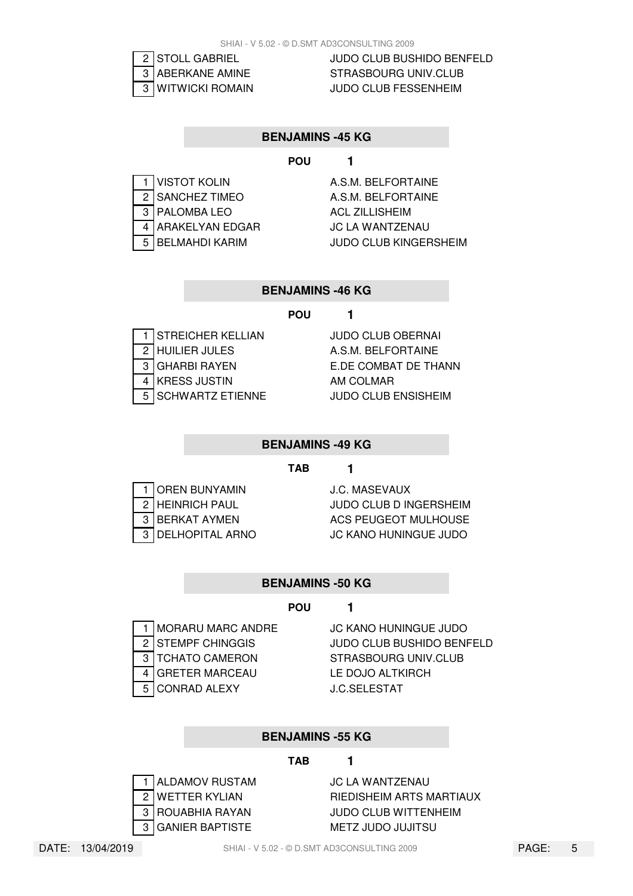

2 STOLL GABRIEL JUDO CLUB BUSHIDO BENFELD 3 ABERKANE AMINE STRASBOURG UNIV.CLUB 3 WITWICKI ROMAIN JUDO CLUB FESSENHEIM

#### **BENJAMINS -45 KG**

### **POU 1**

|   | <b>VISTOT KOLIN</b>   |
|---|-----------------------|
|   | 2 SANCHEZ TIMEO       |
| 3 | PALOMBA LEO           |
|   | ARAKELYAN EDGAR       |
| 5 | <b>BELMAHDI KARIM</b> |

A.S.M. BELFORTAINE A.S.M. BELFORTAINE **ACL ZILLISHEIM JC LA WANTZENAU JUDO CLUB KINGERSHEIM** 

# **BENJAMINS -46 KG**

#### **POU 1**

|   | STREICHER KELLIAN       |
|---|-------------------------|
|   | HUILIER JULES           |
| 3 | <b>GHARBI RAYEN</b>     |
|   | <b>KRESS JUSTIN</b>     |
| 5 | <b>SCHWARTZ ETIENNE</b> |

JUDO CLUB OBERNAI A.S.M. BELFORTAINE E.DE COMBAT DE THANN AM COLMAR **JUDO CLUB ENSISHEIM** 

#### **BENJAMINS -49 KG**

#### **TAB 1**

| 1 OREN BUNYAMIN              |
|------------------------------|
| $\overline{2}$ HEINRICH PAUL |
| 3 BERKAT AYMEN               |
| 3 DELHOPITAL ARNO            |

**J.C. MASEVAUX JUDO CLUB D INGERSHEIM ACS PEUGEOT MULHOUSE JC KANO HUNINGUE JUDO** 

#### **BENJAMINS -50 KG**

#### **POU 1**

3 TCHATO CAMERON STRASBOURG UNIV.CLUB 4 GRETER MARCEAU LE DOJO ALTKIRCH 5 CONRAD ALEXY J.C.SELESTAT

1 MORARU MARC ANDRE JC KANO HUNINGUE JUDO 2 STEMPF CHINGGIS JUDO CLUB BUSHIDO BENFELD

#### **BENJAMINS -55 KG**

#### **TAB 1**



1 ALDAMOV RUSTAM JC LA WANTZENAU 2 WETTER KYLIAN RIEDISHEIM ARTS MARTIAUX 3 ROUABHIA RAYAN JUDO CLUB WITTENHEIM 3 GANIER BAPTISTE METZ JUDO JUJITSU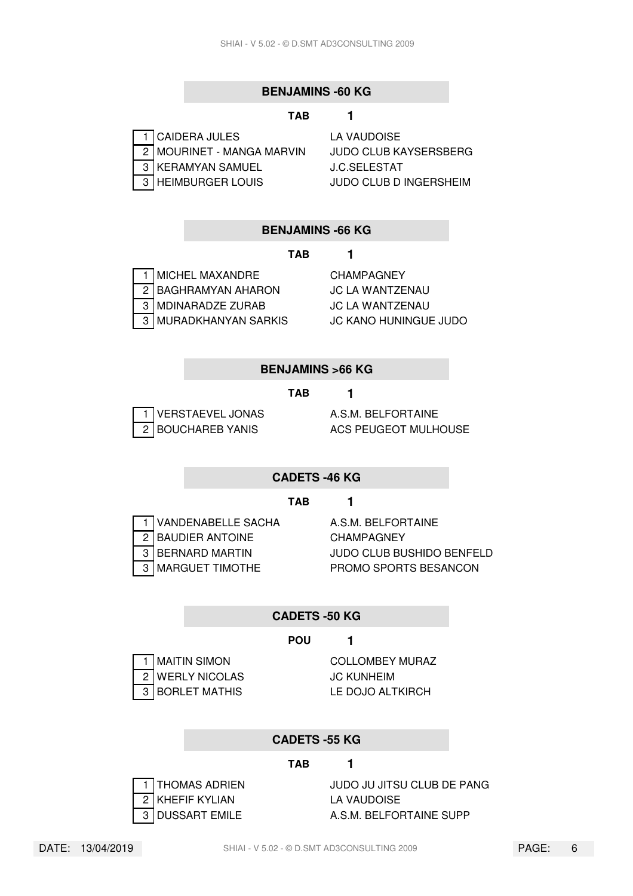#### **BENJAMINS -60 KG**

#### **TAB 1**

| 1 CAIDERA JULES           |
|---------------------------|
| 2 MOURINET - MANGA MARVIN |
| 3 KERAMYAN SAMUEL         |
| 3 HEIMBURGER LOUIS        |

**LA VAUDOISE** JUDO CLUB KAYSERSBERG **J.C.SELESTAT JUDO CLUB D INGERSHEIM** 

### **BENJAMINS -66 KG**

#### **TAB 1**

| 1 MICHEL MAXANDRE                |
|----------------------------------|
| $\overline{2}$ BAGHRAMYAN AHARON |
| 3 MDINARADZE ZURAB               |
| 3 MURADKHANYAN SARKIS            |

**CHAMPAGNEY JC LA WANTZENAU JC LA WANTZENAU JC KANO HUNINGUE JUDO** 

#### **BENJAMINS >66 KG**

#### **TAB 1**

| 1 VERSTAEVEL JONAS |
|--------------------|
| 2 BOUCHAREB YANIS  |

A.S.M. BELFORTAINE ACS PEUGEOT MULHOUSE

#### **CADETS -46 KG**

#### **TAB 1**

1 VANDENABELLE SACHA A.S.M. BELFORTAINE 2 BAUDIER ANTOINE CHAMPAGNEY

3 BERNARD MARTIN JUDO CLUB BUSHIDO BENFELD 3 MARGUET TIMOTHE PROMO SPORTS BESANCON

#### **CADETS -50 KG**

#### **POU 1**

2 WERLY NICOLAS JC KUNHEIM 3 BORLET MATHIS LE DOJO ALTKIRCH

1 MAITIN SIMON COLLOMBEY MURAZ

#### **CADETS -55 KG**

#### **TAB 1**



1 THOMAS ADRIEN JUDO JU JITSU CLUB DE PANG 3 DUSSART EMILE A.S.M. BELFORTAINE SUPP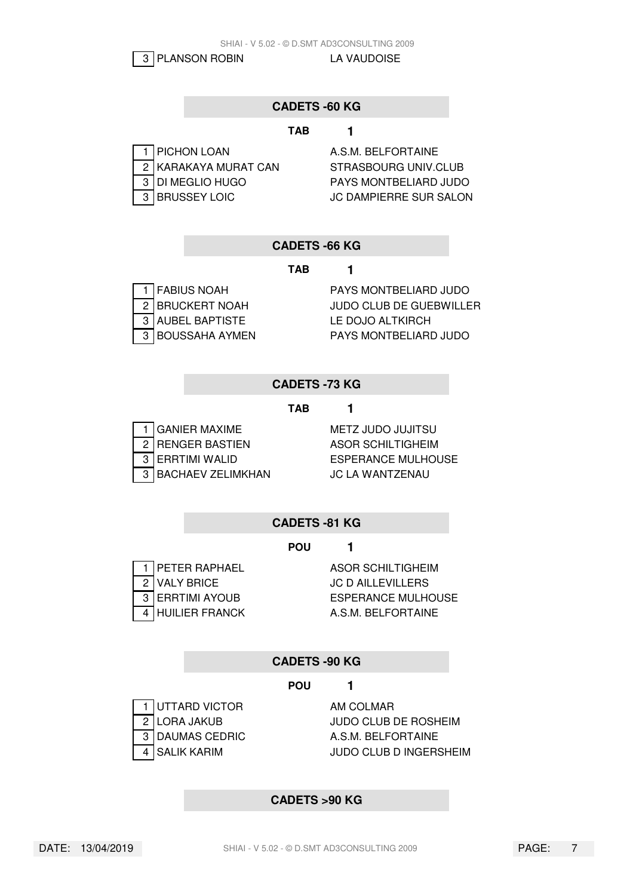3 PLANSON ROBIN LA VAUDOISE

# **CADETS -60 KG**

#### **TAB 1**

| 1   PICHON LOAN                          |
|------------------------------------------|
| 2 KARAKAYA MURAT CAN<br>3 DI MEGLIO HUGO |
|                                          |
| 3 BRUSSEY LOIC                           |

A.S.M. BELFORTAINE STRASBOURG UNIV.CLUB PAYS MONTBELIARD JUDO **JC DAMPIERRE SUR SALON** 

#### **CADETS -66 KG**

**TAB 1**

| <b>FABIUS NOAH</b> |
|--------------------|
| 2 BRUCKERT NOAH    |
| 3 AUBEL BAPTISTE   |
| 3 BOUSSAHA AYMEN   |

PAYS MONTBELIARD JUDO JUDO CLUB DE GUEBWILLER LE DOJO ALTKIRCH PAYS MONTBELIARD JUDO

# **CADETS -73 KG**

#### **TAB 1**

| 1 GANIER MAXIME     |
|---------------------|
| 2 RENGER BASTIEN    |
| 3 ERRTIMI WALID     |
| 3 BACHAEV ZELIMKHAN |

**METZ JUDO JUJITSU ASOR SCHILTIGHEIM ESPERANCE MULHOUSE** N GACHAEV AN JC LA WANTZENAU

# **CADETS -81 KG**

### **POU 1**

| 1   PETER RAPHAEL    |
|----------------------|
| 2<br>3 ERRTIMI AYOUB |
|                      |
| 4 HUILIER FRANCK     |

**ASOR SCHILTIGHEIM JC D AILLEVILLERS ESPERANCE MULHOUSE** A.S.M. BELFORTAINE

# **CADETS -90 KG**

#### **POU 1**

1 UTTARD VICTOR AM COLMAR

2 LORA JAKUB JUDO CLUB DE ROSHEIM 3 DAUMAS CEDRIC A.S.M. BELFORTAINE 4 SALIK KARIM JUDO CLUB D INGERSHEIM

#### **CADETS >90 KG**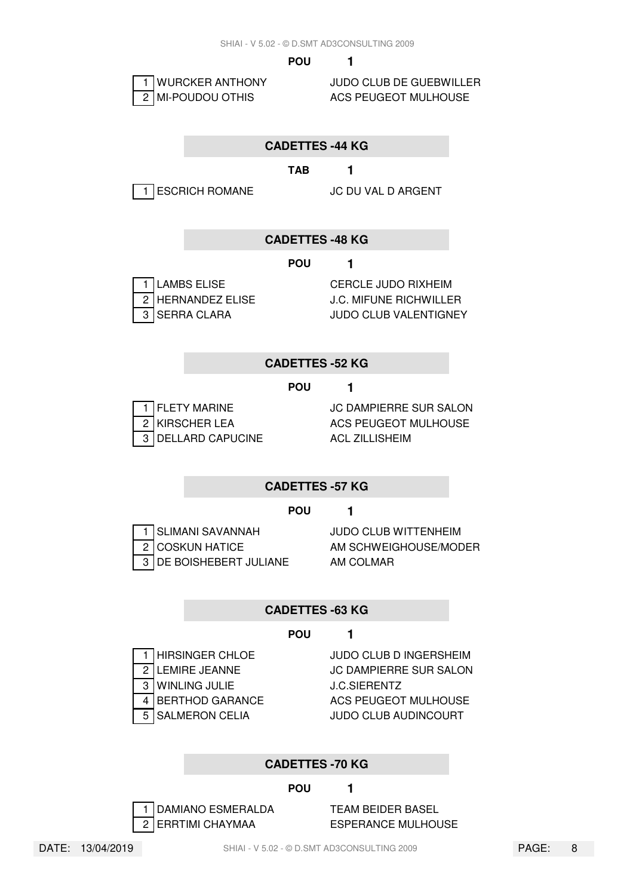

1 WURCKER ANTHONY JUDO CLUB DE GUEBWILLER

# **CADETTES -44 KG**

#### **TAB 1**

1 ESCRICH ROMANE JC DU VAL D ARGENT

### **CADETTES -48 KG**

#### **POU 1**

| 1   LAMBS ELISE   |
|-------------------|
| 2 HERNANDEZ ELISE |
| 3 SERRA CLARA     |

CERCLE JUDO RIXHEIM **J.C. MIFUNE RICHWILLER JUDO CLUB VALENTIGNEY** 

#### **CADETTES -52 KG**

**POU 1**

3 DELLARD CAPUCINE ACL ZILLISHEIM

1 FLETY MARINE JC DAMPIERRE SUR SALON 2 KIRSCHER LEA ACS PEUGEOT MULHOUSE

#### **CADETTES -57 KG**

#### **POU 1**

1 SLIMANI SAVANNAH JUDO CLUB WITTENHEIM 3 DE BOISHEBERT JULIANE AM COLMAR

2 COSKUN HATICE AM SCHWEIGHOUSE/MODER

#### **CADETTES -63 KG**

#### **POU 1**

3 WINLING JULIE J.C.SIERENTZ

1 HIRSINGER CHLOE JUDO CLUB D INGERSHEIM 2 LEMIRE JEANNE JC DAMPIERRE SUR SALON 4 BERTHOD GARANCE ACS PEUGEOT MULHOUSE 5 SALMERON CELIA JUDO CLUB AUDINCOURT

#### **CADETTES -70 KG**

#### **POU 1**

1 DAMIANO ESMERALDA TEAM BEIDER BASEL 2 ERRTIMI CHAYMAA ESPERANCE MULHOUSE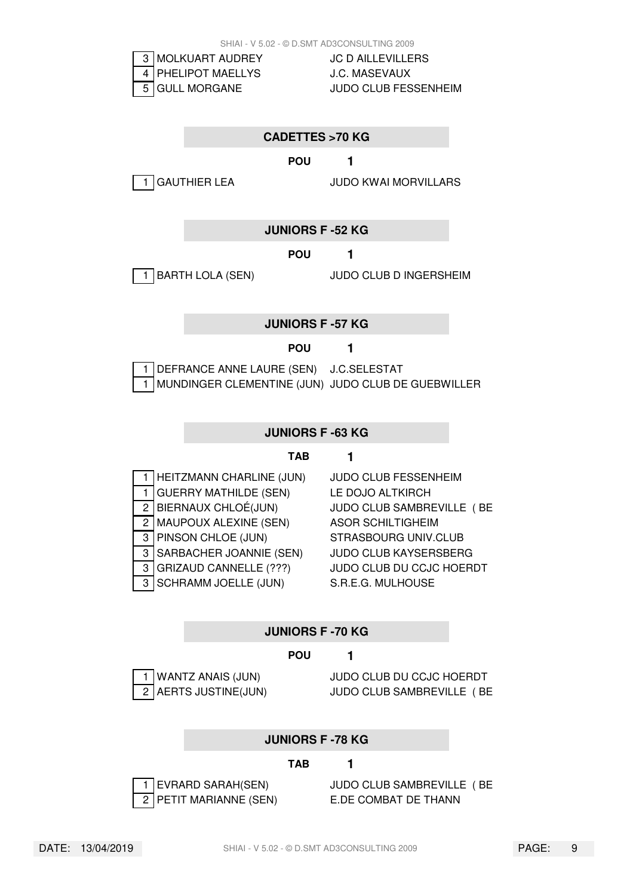

5 GULL MORGANE JUDO CLUB FESSENHEIM

#### **CADETTES >70 KG**

**POU 1**

1 GAUTHIER LEA JUDO KWAI MORVILLARS

#### **JUNIORS F -52 KG**

**POU 1**

1 BARTH LOLA (SEN) JUDO CLUB D INGERSHEIM

#### **JUNIORS F -57 KG**

#### **POU 1**

1 DEFRANCE ANNE LAURE (SEN) J.C.SELESTAT 1 MUNDINGER CLEMENTINE (JUN) JUDO CLUB DE GUEBWILLER

#### **JUNIORS F -63 KG**

#### **TAB 1**

| 1              | HEITZMANN CHARLINE (JUN)      |
|----------------|-------------------------------|
| 1              | <b>GUERRY MATHILDE (SEN)</b>  |
| $\overline{c}$ | BIERNAUX CHLOÉ(JUN)           |
| 2              | MAUPOUX ALEXINE (SEN)         |
| 3              | PINSON CHLOE (JUN)            |
| 3              | SARBACHER JOANNIE (SEN)       |
| 3              | <b>GRIZAUD CANNELLE (???)</b> |
| 3              | <b>SCHRAMM JOELLE (JUN)</b>   |

**JUDO CLUB FESSENHEIM LE DOJO ALTKIRCH** JUDO CLUB SAMBREVILLE (BE ASOR SCHILTIGHEIM STRASBOURG UNIV.CLUB **JUDO CLUB KAYSERSBERG** JUDO CLUB DU CCJC HOERDT S.R.E.G. MULHOUSE

#### **JUNIORS F -70 KG**

#### **POU 1**

WANTZ ANAIS (JUN) JUDO CLUB DU CCJC HOERDT 2 AERTS JUSTINE(JUN) JUDO CLUB SAMBREVILLE ( BE

#### **JUNIORS F -78 KG**

#### **TAB 1**



1 EVRARD SARAH(SEN) JUDO CLUB SAMBREVILLE ( BE 2 PETIT MARIANNE (SEN) E.DE COMBAT DE THANN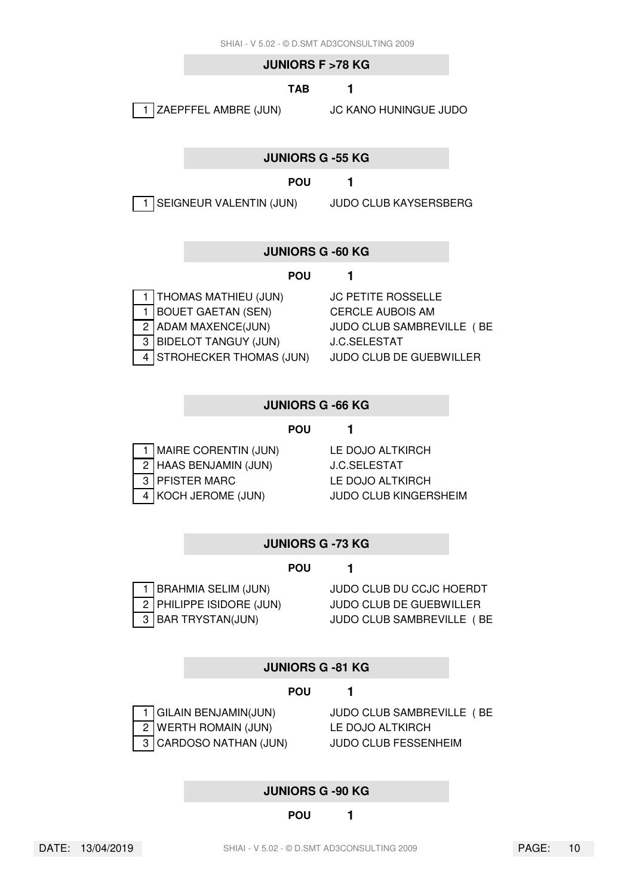#### **JUNIORS F >78 KG**

#### **TAB 1**

1 ZAEPFFEL AMBRE (JUN) JC KANO HUNINGUE JUDO

#### **JUNIORS G -55 KG**

### **POU 1**

1 SEIGNEUR VALENTIN (JUN) JUDO CLUB KAYSERSBERG

# **JUNIORS G -60 KG**

#### **POU 1**

1 THOMAS MATHIEU (JUN) JC PETITE ROSSELLE 1 BOUET GAETAN (SEN) CERCLE AUBOIS AM 3 BIDELOT TANGUY (JUN) J.C.SELESTAT 4 STROHECKER THOMAS (JUN) JUDO CLUB DE GUEBWILLER

2 ADAM MAXENCE(JUN) JUDO CLUB SAMBREVILLE (BE

#### **JUNIORS G -66 KG**

#### **POU 1**

| 1 MAIRE CORENTIN (JUN) |
|------------------------|
| 2 HAAS BENJAMIN (JUN)  |
| 3 PFISTER MARC         |
| 4 KOCH JEROME (JUN)    |

LE DOJO ALTKIRCH **J.C.SELESTAT** LE DOJO ALTKIRCH **JUDO CLUB KINGERSHEIM** 

#### **JUNIORS G -73 KG**

#### **POU 1**



1 BRAHMIA SELIM (JUN) JUDO CLUB DU CCJC HOERDT 2 PHILIPPE ISIDORE (JUN) JUDO CLUB DE GUEBWILLER 3 BAR TRYSTAN(JUN) JUDO CLUB SAMBREVILLE ( BE

#### **JUNIORS G -81 KG**

#### **POU 1**

1 GILAIN BENJAMIN(JUN) JUDO CLUB SAMBREVILLE ( BE 2 WERTH ROMAIN (JUN) LE DOJO ALTKIRCH 3 CARDOSO NATHAN (JUN) JUDO CLUB FESSENHEIM

#### **JUNIORS G -90 KG**

**POU 1**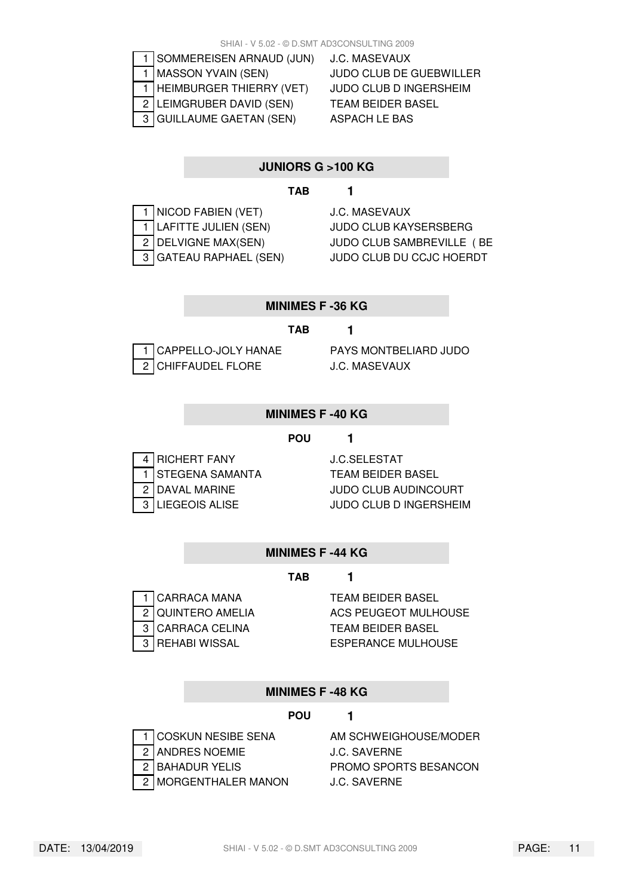|  | SOMMEREISEN ARNAUD (JUN)   |
|--|----------------------------|
|  | MASSON YVAIN (SEN)         |
|  | HEIMBURGER THIERRY (VET)   |
|  | 2   LEIMGRUBER DAVID (SEN) |
|  | 3 GUILLAUME GAETAN (SEN)   |

**J.C. MASEVAUX** JUDO CLUB DE GUEBWILLER JUDO CLUB D INGERSHEIM **TEAM BEIDER BASEL** ASPACH LE BAS

# **JUNIORS G >100 KG**

#### **TAB 1**

| 1 NICOD FABIEN (VET)   |
|------------------------|
| 1 LAFITTE JULIEN (SEN) |
| 2 DELVIGNE MAX(SEN)    |
| 3 GATEAU RAPHAEL (SEN) |

**J.C. MASEVAUX** JUDO CLUB KAYSERSBERG JUDO CLUB SAMBREVILLE (BE **JUDO CLUB DU CCJC HOERDT** 

#### **MINIMES F -36 KG**

#### **TAB 1**

2 CHIFFAUDEL FLORE J.C. MASEVAUX

1 CAPPELLO-JOLY HANAE PAYS MONTBELIARD JUDO

#### **MINIMES F -40 KG**

#### **POU 1**

| 4 RICHERT FANY                            |
|-------------------------------------------|
| 1<br>STEGENA SAMANTA<br>2<br>DAVAL MARINE |
|                                           |
| 3 LIEGEOIS ALISE                          |

J.C.SELESTAT **TEAM BEIDER BASEL** JUDO CLUB AUDINCOURT **JUDO CLUB D INGERSHEIM** 

# **MINIMES F -44 KG**

#### **TAB 1**



2 QUINTERO AMELIA ACS PEUGEOT MULHOUSE 3 REHABI WISSAL ESPERANCE MULHOUSE

#### **MINIMES F -48 KG**

# **POU 1**

- 
- 
- 
- 2 MORGENTHALER MANON J.C. SAVERNE

1 COSKUN NESIBE SENA AM SCHWEIGHOUSE/MODER 2 ANDRES NOEMIE J.C. SAVERNE 2 BAHADUR YELIS PROMO SPORTS BESANCON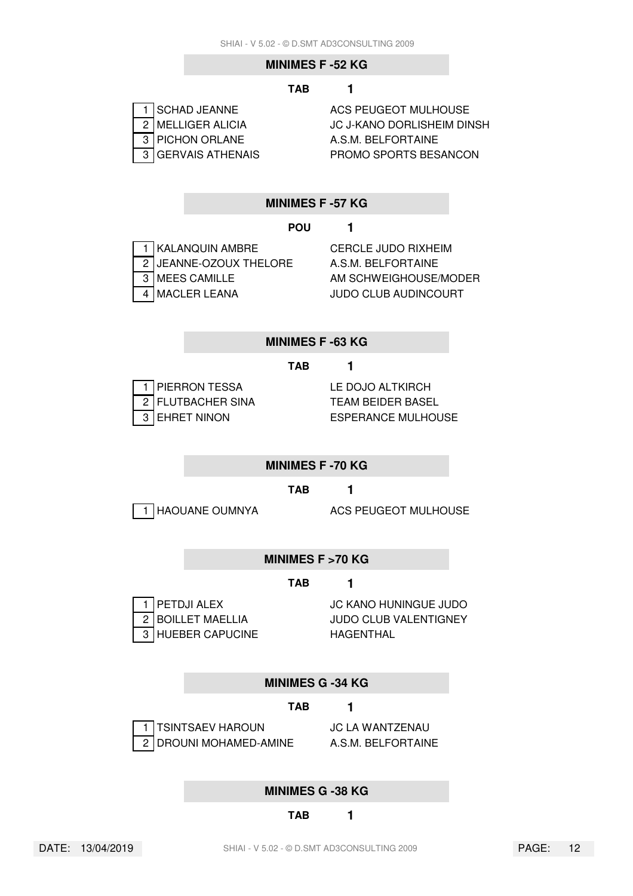#### **MINIMES F -52 KG**

#### **TAB 1**

| 1 SCHAD JEANNE                       |
|--------------------------------------|
| 2 MELLIGER ALICIA<br>3 PICHON ORLANE |
|                                      |
| 3 GERVAIS ATHENAIS                   |

**ACS PEUGEOT MULHOUSE JC J-KANO DORLISHEIM DINSH** A.S.M. BELFORTAINE PROMO SPORTS BESANCON

#### **MINIMES F -57 KG**

#### **POU 1**

| 1 KALANQUIN AMBRE                                            |
|--------------------------------------------------------------|
|                                                              |
| $\boxed{2}$ JEANNE-OZOUX THELORE<br>$\boxed{3}$ MEES CAMILLE |
| 4 MACLER LEANA                                               |

**CERCLE JUDO RIXHEIM** A.S.M. BELFORTAINE AM SCHWEIGHOUSE/MODER **JUDO CLUB AUDINCOURT** 

#### **MINIMES F -63 KG**

#### **TAB 1**

1 PIERRON TESSA LE DOJO ALTKIRCH 2 FLUTBACHER SINA<br>TEAM BEIDER BASEL

3 EHRET NINON ESPERANCE MULHOUSE

#### **MINIMES F -70 KG**

**TAB 1**

1 HAOUANE OUMNYA ACS PEUGEOT MULHOUSE

#### **MINIMES F >70 KG**

#### **TAB 1**

| 1 PETDJI ALEX     |  |
|-------------------|--|
| 2 BOILLET MAELLIA |  |
| 3 HUEBER CAPUCINE |  |

**JC KANO HUNINGUE JUDO** JUDO CLUB VALENTIGNEY **HAGENTHAL** 

#### **MINIMES G -34 KG**

#### **TAB 1**



2 DROUNI MOHAMED-AMINE A.S.M. BELFORTAINE

1 TSINTSAEV HAROUN JC LA WANTZENAU

#### **MINIMES G -38 KG**

#### **TAB 1**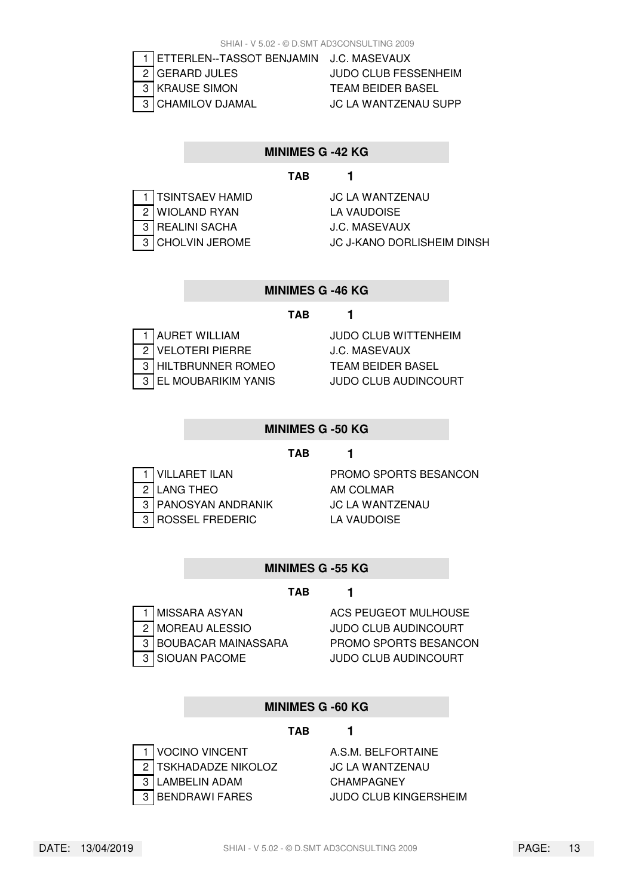| 1   ETTERLEN--TASSOT |  |  |
|----------------------|--|--|
| 2 GERARD JULES       |  |  |
| 3 KRAUSE SIMON       |  |  |
| 3 CHAMILOV DJAMAL    |  |  |

BENJAMIN J.C. MASEVAUX JUDO CLUB FESSENHEIM **TEAM BEIDER BASEL JC LA WANTZENAU SUPP** 

#### **MINIMES G -42 KG**

# **TAB 1**

| TSINTSAEV HAMID  |
|------------------|
| 2 WIOLAND RYAN   |
| 3 REALINI SACHA  |
| 3 CHOLVIN JEROME |

**JC LA WANTZENAU** LA VAUDOISE **J.C. MASEVAUX JC J-KANO DORLISHEIM DINSH** 

#### **MINIMES G -46 KG**

#### **TAB 1**

| 1 AURET WILLIAM                          |
|------------------------------------------|
| 2 VELOTERI PIERRE<br>3 HILTBRUNNER ROMEO |
|                                          |
| 3 EL MOUBARIKIM YANIS                    |

JUDO CLUB WITTENHEIM **J.C. MASEVAUX TEAM BEIDER BASEL JUDO CLUB AUDINCOURT** 

#### **MINIMES G -50 KG**

#### **TAB 1**

2 LANG THEO AM COLMAR 3 PANOSYAN ANDRANIK JC LA WANTZENAU 3 ROSSEL FREDERIC<br>LA VAUDOISE

1 VILLARET ILAN PROMO SPORTS BESANCON

#### **MINIMES G -55 KG**

#### **TAB 1**

| 1 MISSARA ASYAN<br>2 MOREAU ALESSIO<br>3 BOUBACAR MAINASSARA |
|--------------------------------------------------------------|
| 3 SIOUAN PACOME                                              |

**ACS PEUGEOT MULHOUSE** JUDO CLUB AUDINCOURT PROMO SPORTS BESANCON **JUDO CLUB AUDINCOURT** 

#### **MINIMES G -60 KG**

#### **TAB 1**

|  | <b>VOCINO VINCENT</b> |  |  |
|--|-----------------------|--|--|
|  | 2 TSKHADADZE NIKOLOZ  |  |  |
|  | 3 LAMBELIN ADAM       |  |  |
|  | 3 BENDRAWI FARES      |  |  |

A.S.M. BELFORTAINE **JC LA WANTZENAU CHAMPAGNEY JUDO CLUB KINGERSHEIM**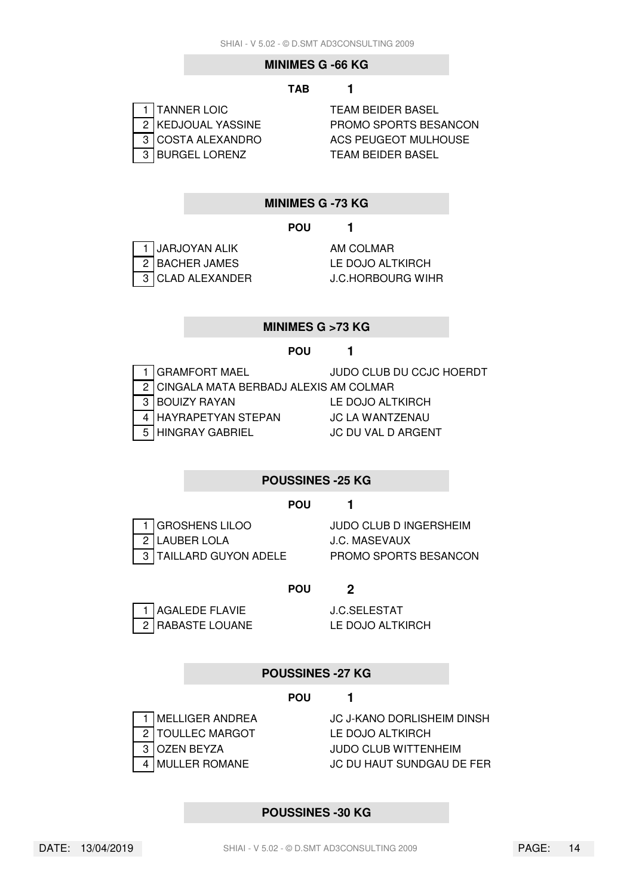#### **MINIMES G -66 KG**

#### **TAB 1**

| 1   TANNER LOIC    |
|--------------------|
| 2 KEDJOUAL YASSINE |
| 3 COSTA ALEXANDRO  |
| 3 BURGEL LORENZ    |

**TEAM BEIDER BASEL** PROMO SPORTS BESANCON ACS PEUGEOT MULHOUSE **TEAM BEIDER BASEL** 

#### **MINIMES G -73 KG**

#### **POU 1**

| $\begin{array}{ c c }\n\hline\n1 & \text{JARJOYAN ALIK}\n\hline\n2 & \text{BACHER JAMES}\n\hline\n\end{array}$ |
|----------------------------------------------------------------------------------------------------------------|
|                                                                                                                |
| $\overline{3}$ CLAD ALEXANDER                                                                                  |

AM COLMAR LE DOJO ALTKIRCH **J.C.HORBOURG WIHR** 

# **MINIMES G >73 KG**

#### **POU 1**

|   | 1 I GRAMFORT MAEL                         | JUDO CLUB DU CCJC HOERDT |
|---|-------------------------------------------|--------------------------|
|   | 2   CINGALA MATA BERBADJ ALEXIS AM COLMAR |                          |
| વ | <b>IBOUIZY RAYAN</b>                      | LE DOJO ALTKIRCH         |
|   | 4 HAYRAPETYAN STEPAN                      | JC LA WANTZENAU          |
|   | 5 HINGRAY GABRIEL                         | JC DU VAL D ARGENT       |

#### **POUSSINES -25 KG**

#### **POU 1**

2 LAUBER LOLA J.C. MASEVAUX

1 GROSHENS LILOO JUDO CLUB D INGERSHEIM 3 TAILLARD GUYON ADELE PROMO SPORTS BESANCON

#### **POU 2**

| 1 AGALEDE FLAVIE |
|------------------|
| 2 RABASTE LOUANE |

**J.C.SELESTAT** LE DOJO ALTKIRCH

#### **POUSSINES -27 KG**

#### **POU 1**

2 TOULLEC MARGOT LE DOJO ALTKIRCH

1 MELLIGER ANDREA JC J-KANO DORLISHEIM DINSH 3 OZEN BEYZA JUDO CLUB WITTENHEIM 4 MULLER ROMANE JC DU HAUT SUNDGAU DE FER

#### **POUSSINES -30 KG**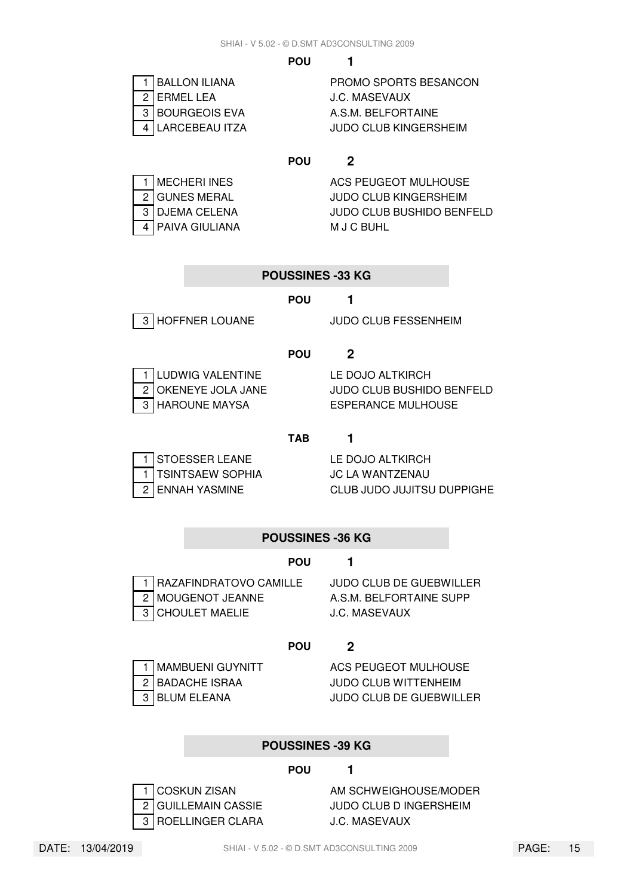| 1   BALLON ILIANA  | PROMO SPORTS BESANCON |
|--------------------|-----------------------|
| 2 I ERMEL LEA      | J.C. MASEVAUX         |
| 3   BOURGEOIS EVA  | A.S.M. BELFORTAINE    |
| 4   LARCEBEAU ITZA | JUDO CLUB KINGERSHEIM |
|                    |                       |

| MECHERI INES   |
|----------------|
| 2 GUNES MERAL  |
| 3 DJEMA CELENA |
| PAIVA GIULIANA |

**ACS PEUGEOT MULHOUSE JUDO CLUB KINGERSHEIM JUDO CLUB BUSHIDO BENFELD M J C BUHL** 

#### **POUSSINES -33 KG**

#### **POU 1**

3 HOFFNER LOUANE JUDO CLUB FESSENHEIM

# **POU 2**

| 1 LUDWIG VALENTINE |
|--------------------|
| 2 OKENEYE JOLA JAN |
| 3 HAROUNE MAYSA    |

LE DOJO ALTKIRCH **2** OUDO CLUB BUSHIDO BENFELD ESPERANCE MULHOUSE

#### **TAB 1**

| 1 STOESSER LEANE   |
|--------------------|
| 1 TSINTSAEW SOPHIA |
| 2 ENNAH YASMINE    |

LE DOJO ALTKIRCH **JC LA WANTZENAU** CLUB JUDO JUJITSU DUPPIGHE

#### **POUSSINES -36 KG**

#### **POU 1**



1 RAZAFINDRATOVO CAMILLE JUDO CLUB DE GUEBWILLER 2 MOUGENOT JEANNE A.S.M. BELFORTAINE SUPP 3 CHOULET MAELIE **J.C. MASEVAUX** 

#### **POU 2**



1 MAMBUENI GUYNITT ACS PEUGEOT MULHOUSE 2 BADACHE ISRAA JUDO CLUB WITTENHEIM 3 BLUM ELEANA JUDO CLUB DE GUEBWILLER

#### **POUSSINES -39 KG**

**POU 1**



# 1 COSKUN ZISAN AM SCHWEIGHOUSE/MODER 2 GUILLEMAIN CASSIE JUDO CLUB D INGERSHEIM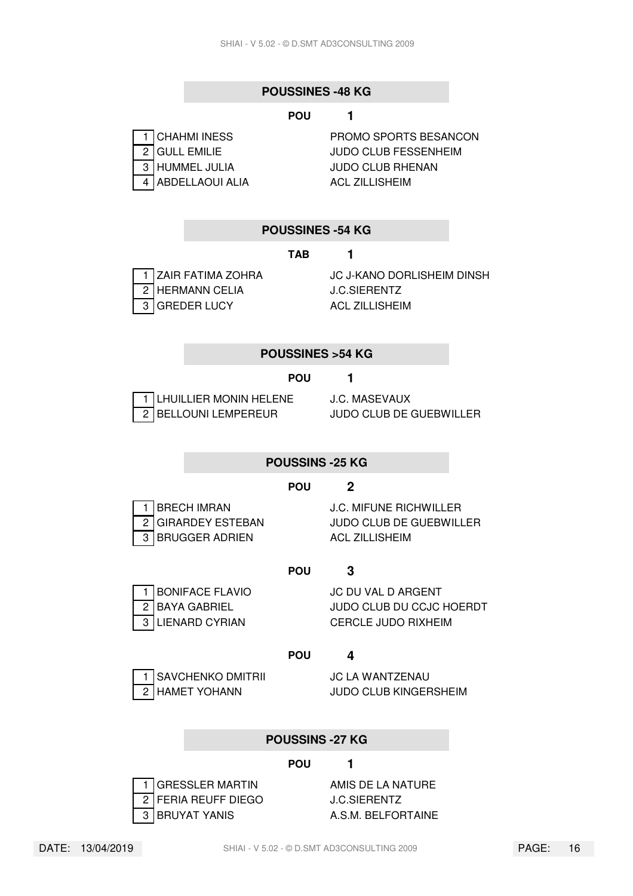#### **POUSSINES -48 KG**

#### **POU 1**

| 1 CHAHMI INESS             |
|----------------------------|
| $\overline{2}$ GULL EMILIE |
| 3 HUMMEL JULIA             |
| 4 ABDELLAOUI ALIA          |

PROMO SPORTS BESANCON JUDO CLUB FESSENHEIM **JUDO CLUB RHENAN ACL ZILLISHEIM** 

#### **POUSSINES -54 KG**

#### **TAB 1**

2 HERMANN CELIA J.C.SIERENTZ 3 GREDER LUCY ACL ZILLISHEIM

1 ZAIR FATIMA ZOHRA JC J-KANO DORLISHEIM DINSH

#### **POUSSINES >54 KG**

#### **POU 1**

| 1 LHUILLIER MONIN HELEN |
|-------------------------|
| 2 BELLOUNI LEMPEREUR    |

**IE J.C. MASEVAUX** JUDO CLUB DE GUEBWILLER

#### **POUSSINS -25 KG**

#### **POU 2**

3 BRUGGER ADRIEN ACL ZILLISHEIM

1 BRECH IMRAN J.C. MIFUNE RICHWILLER 2 GIRARDEY ESTEBAN JUDO CLUB DE GUEBWILLER

#### **POU 3**

1 BONIFACE FLAVIO JC DU VAL D ARGENT 2 BAYA GABRIEL JUDO CLUB DU CCJC HOERDT 3 LIENARD CYRIAN CERCLE JUDO RIXHEIM

#### **POU 4**

SAVCHENKO DMITRII JC LA WANTZENAU

2 HAMET YOHANN JUDO CLUB KINGERSHEIM

#### **POUSSINS -27 KG**

#### **POU 1**



2 FERIA REUFF DIEGO J.C.SIERENTZ

1 GRESSLER MARTIN AMIS DE LA NATURE 3 BRUYAT YANIS A.S.M. BELFORTAINE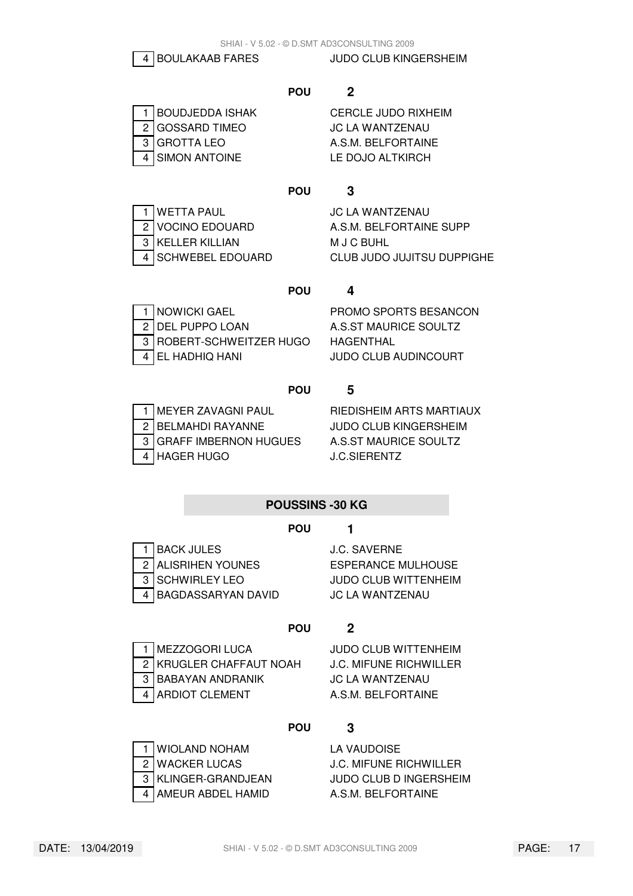4 BOULAKAAB FARES JUDO CLUB KINGERSHEIM

#### **POU 2**

|  | 1 BOUDJEDDA ISHAK | <b>CERCLE JUDO RIXHE</b> |
|--|-------------------|--------------------------|
|  | 2 GOSSARD TIMEO   | JC LA WANTZENAU          |
|  | 3 GROTTA LEO      | A.S.M. BELFORTAINE       |
|  | 4 SIMON ANTOINE   | LE DOJO ALTKIRCH         |

| 1 BOUDJEDDA ISHAK | CERCLE JUDO RIXHEIM |
|-------------------|---------------------|
| 2 GOSSARD TIMEO   | JC LA WANTZENAU     |
| 3   GROTTA LEO    | A.S.M. BELFORTAINE  |
| 4 SIMON ANTOINE   | LE DOJO ALTKIRCH    |

# **POU 3**

| $\frac{1}{2}$ WETTA PAUL<br>$\frac{2}{3}$ VOCINO EDOUARD<br>$\frac{3}{3}$ KELLER KILLIAN |
|------------------------------------------------------------------------------------------|
|                                                                                          |
|                                                                                          |
| 4 SCHWEBEL EDOUAR                                                                        |

**JC LA WANTZENAU** A.S.M. BELFORTAINE SUPP **M J C BUHL** D CLUB JUDO JUJITSU DUPPIGHE

# **POU 4**

| 1 NOWICKI GAEL           |
|--------------------------|
| 2 DEL PUPPO LOAN         |
| 3 ROBERT-SCHWEITZER HUGO |
| 4   EL HADHIQ HANI       |

PROMO SPORTS BESANCON **A.S.ST MAURICE SOULTZ HAGENTHAL** JUDO CLUB AUDINCOURT

# **POU 5**

|  | 1 MEYER ZAVAGNI PAUL<br>2 BELMAHDI RAYANNE<br>3 GRAFF IMBERNON HUGUI |
|--|----------------------------------------------------------------------|
|  | $\boxed{4}$ HAGER HUGO                                               |

RIEDISHEIM ARTS MARTIAUX **JUDO CLUB KINGERSHEIM** ES A.S.ST MAURICE SOULTZ J.C.SIERENTZ

# **POUSSINS -30 KG**

# **POU 1**

1 BACK JULES J.C. SAVERNE 2 ALISRIHEN YOUNES ESPERANCE MULHOUSE 3 SCHWIRLEY LEO JUDO CLUB WITTENHEIM 4 BAGDASSARYAN DAVID JC LA WANTZENAU

# **POU 2**



2 KRUGLER CHAFFAUT NOAH J.C. MIFUNE RICHWILLER 3 BABAYAN ANDRANIK JC LA WANTZENAU 4 ARDIOT CLEMENT A.S.M. BELFORTAINE

1 MEZZOGORI LUCA JUDO CLUB WITTENHEIM

# **POU 3**

| 1   WIOLAND NOHAM   |
|---------------------|
| 2   WACKER LUCAS    |
| 3 KLINGER-GRANDJEAN |
| 4 AMEUR ABDEL HAMID |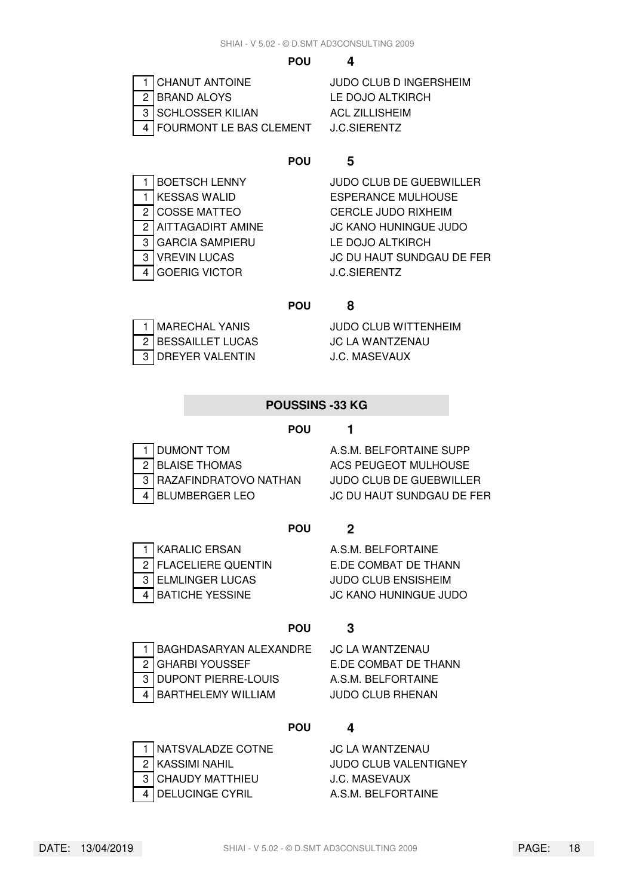| 1 CHANUT ANTOINE          |
|---------------------------|
| 2   BRAND ALOYS           |
| 3 SCHLOSSER KILIAN        |
| 4 FOURMONT LE BAS CLEMENT |

JUDO CLUB D INGERSHEIM LE DOJO ALTKIRCH **ACL ZILLISHEIM J.C.SIERENTZ** 

### **POU 5**

|                | <b>BOETSCH LENNY</b>   |
|----------------|------------------------|
|                | <b>KESSAS WALID</b>    |
| $\overline{2}$ | <b>COSSE MATTEO</b>    |
| 2              | AITTAGADIRT AMINE      |
| 3              | <b>GARCIA SAMPIERU</b> |
| 3              | <b>VREVIN LUCAS</b>    |
| 4              | <b>GOERIG VICTOR</b>   |

**JUDO CLUB DE GUEBWILLER ESPERANCE MULHOUSE CERCLE JUDO RIXHEIM** JC KANO HUNINGUE JUDO LE DOJO ALTKIRCH **JC DU HAUT SUNDGAU DE FER J.C.SIERENTZ** 

#### **POU 8**

| 1 MARECHAL YANIS<br>2 BESSAILLET LUCAS |
|----------------------------------------|
|                                        |
| $\frac{1}{3}$ DREYER VALENTIN          |

**JUDO CLUB WITTENHEIM JC LA WANTZENAU J.C. MASEVAUX** 

# **POUSSINS -33 KG**

#### **POU 1**

| 1 DUMONT TOM            |
|-------------------------|
| 2 BLAISE THOMAS         |
| 3 RAZAFINDRATOVO NATHAN |
| 4 BLUMBERGER LEO        |

A.S.M. BELFORTAINE SUPP ACS PEUGEOT MULHOUSE **JUDO CLUB DE GUEBWILLER JC DU HAUT SUNDGAU DE FER** 

# **POU 2**

1 KARALIC ERSAN A.S.M. BELFORTAINE 2 FLACELIERE QUENTIN E.DE COMBAT DE THANN 3 ELMLINGER LUCAS JUDO CLUB ENSISHEIM 4 BATICHE YESSINE JC KANO HUNINGUE JUDO

# **POU 3**



1 BAGHDASARYAN ALEXANDRE JC LA WANTZENAU 2 GHARBI YOUSSEF E.DE COMBAT DE THANN 3 DUPONT PIERRE-LOUIS A.S.M. BELFORTAINE 4 BARTHELEMY WILLIAM JUDO CLUB RHENAN

# **POU 4**

| 1 NATSVALADZE COTNE |
|---------------------|
| 2   KASSIMI NAHIL   |
| 3 CHAUDY MATTHIEU   |
| 4 DELUCINGE CYRIL   |

# **JC LA WANTZENAU**

**JUDO CLUB VALENTIGNEY J.C. MASEVAUX** A.S.M. BELFORTAINE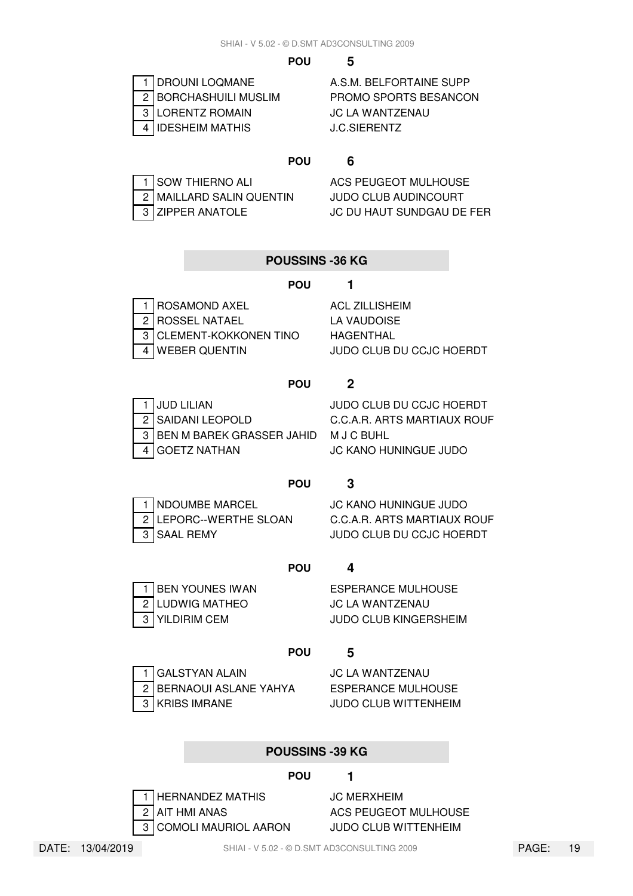| 1 DROUNI LOQMANE      |
|-----------------------|
| 2 BORCHASHUILI MUSLIM |
| 3 LORENTZ ROMAIN      |
| 4 IDESHEIM MATHIS     |

A.S.M. BELFORTAINE SUPP PROMO SPORTS BESANCON **JC LA WANTZENAU J.C.SIERENTZ** 

#### **POU 6**

1 SOW THIERNO ALI ACS PEUGEOT MULHOUSE 2 MAILLARD SALIN QUENTIN JUDO CLUB AUDINCOURT

3 ZIPPER ANATOLE JC DU HAUT SUNDGAU DE FER

|   | <b>POUSSINS -36 KG</b>       |                             |
|---|------------------------------|-----------------------------|
|   | <b>POU</b>                   |                             |
|   | <b>ROSAMOND AXEL</b>         | <b>ACL ZILLISHEIM</b>       |
| 2 | <b>ROSSEL NATAEL</b>         | LA VAUDOISE                 |
| 3 | <b>CLEMENT-KOKKONEN TINO</b> | HAGENTHAL                   |
| 4 | <b>WEBER QUENTIN</b>         | JUDO CLUB DU CCJC HOERDT    |
|   |                              |                             |
|   | <b>POU</b>                   | 2                           |
|   | <b>JUD LILIAN</b>            | JUDO CLUB DU CCJC HOERDT    |
| 2 | <b>SAIDANI LEOPOLD</b>       | C.C.A.R. ARTS MARTIAUX ROUF |
| 3 | BEN M BAREK GRASSER JAHID    | M J C BUHL                  |

# **POU 3**

4 GOETZ NATHAN JC KANO HUNINGUE JUDO

| 1 NDOUMBE MARCI |
|-----------------|
| 2 LEPORC--WERTH |
| 3 SAAL REMY     |

1 NDOUMBE MARCEL JC KANO HUNINGUE JUDO **E SLOAN C.C.A.R. ARTS MARTIAUX ROUF** JUDO CLUB DU CCJC HOERDT

# **POU 4**

1 BEN YOUNES IWAN ESPERANCE MULHOUSE 2 LUDWIG MATHEO JC LA WANTZENAU 3 YILDIRIM CEM JUDO CLUB KINGERSHEIM

#### **POU 5**

1 GALSTYAN ALAIN JC LA WANTZENAU 2 BERNAOUI ASLANE YAHYA ESPERANCE MULHOUSE 3 KRIBS IMRANE JUDO CLUB WITTENHEIM

# **POUSSINS -39 KG**

# **POU 1**

1 HERNANDEZ MATHIS JC MERXHEIM 2 AIT HMI ANAS ACS PEUGEOT MULHOUSE 3 COMOLI MAURIOL AARON JUDO CLUB WITTENHEIM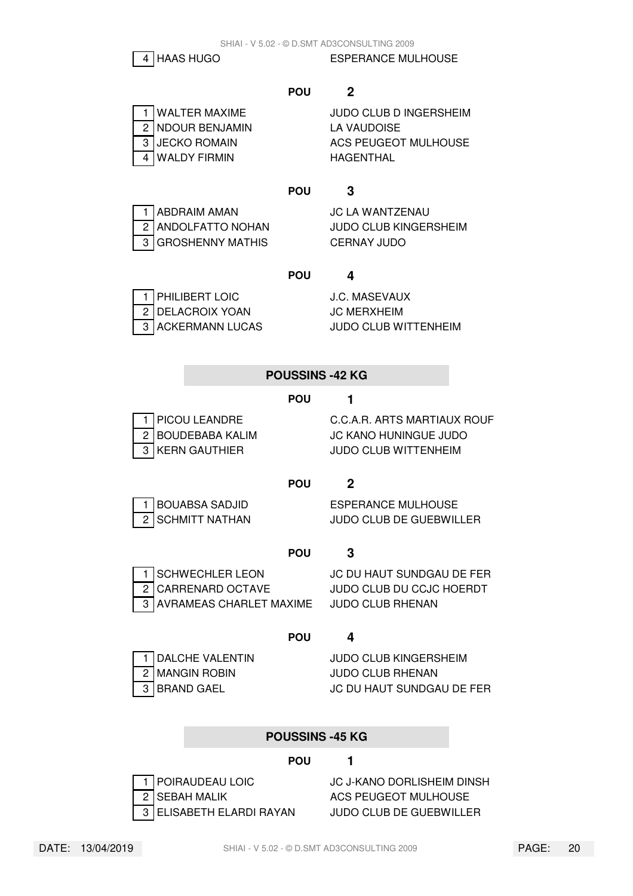$$
\boxed{4}
$$
 HAAS HUGO

**ESPERANCE MULHOUSE** 

# **POU 2**

2 NDOUR BENJAMIN LA VAUDOISE 4 WALDY FIRMIN HAGENTHAL

1 WALTER MAXIME JUDO CLUB D INGERSHEIM 3 JUECKO ROMAIN ACS PEUGEOT MULHOUSE

# **POU 3**

|  | 1 ABDRAIM AMAN   |
|--|------------------|
|  | 2 ANDOLFATTO NOH |
|  | 3 GROSHENNY MATH |

**JC LA WANTZENAU** AN JUDO CLUB KINGERSHEIM **3 GERNAY JUDO** 

# **POU 4**

| 1 PHILIBERT LOIC                      |
|---------------------------------------|
| 2 DELACROIX YOAN<br>3 ACKERMANN LUCAS |
|                                       |

**J.C. MASEVAUX JC MERXHEIM JUDO CLUB WITTENHEIM** 

# **POUSSINS -42 KG**

# **POU 1**

1 PICOU LEANDRE C.C.A.R. ARTS MARTIAUX ROUF 2 BOUDEBABA KALIM JC KANO HUNINGUE JUDO 3 KERN GAUTHIER JUDO CLUB WITTENHEIM

# **POU 2**

1 BOUABSA SADJID ESPERANCE MULHOUSE 2 SCHMITT NATHAN JUDO CLUB DE GUEBWILLER

# **POU 3**



1 SCHWECHLER LEON JC DU HAUT SUNDGAU DE FER 2 CARRENARD OCTAVE JUDO CLUB DU CCJC HOERDT 3 AVRAMEAS CHARLET MAXIME JUDO CLUB RHENAN

# **POU 4**

1 DALCHE VALENTIN JUDO CLUB KINGERSHEIM 2 MANGIN ROBIN JUDO CLUB RHENAN 3 BRAND GAEL JC DU HAUT SUNDGAU DE FER

# **POUSSINS -45 KG**

# **POU 1**

1 POIRAUDEAU LOIC J.C J-KANO DORLISHEIM DINSH 2 SEBAH MALIK ACS PEUGEOT MULHOUSE 3 ELISABETH ELARDI RAYAN JUDO CLUB DE GUEBWILLER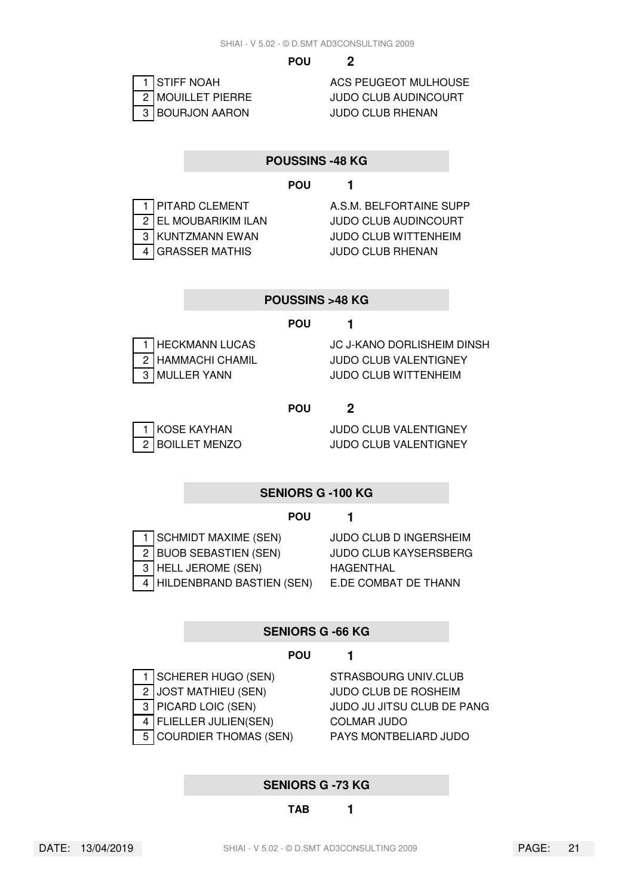

2 MOUILLET PIERRE JUDO CLUB AUDINCOURT

#### **POUSSINS -48 KG**

#### **POU 1**

|  | 1 PITARD CLEMENT     |
|--|----------------------|
|  | 2 EL MOUBARIKIM ILAN |
|  | 3 KUNTZMANN EWAN     |
|  | 4 GRASSER MATHIS     |

A.S.M. BELFORTAINE SUPP **JUDO CLUB AUDINCOURT JUDO CLUB WITTENHEIM JUDO CLUB RHENAN** 

#### **POUSSINS >48 KG**

#### **POU 1**

| 1 HECKMANN LUCAS  |
|-------------------|
| 2 HAMMACHI CHAMIL |
| 3 MULLER YANN     |

**JC J-KANO DORLISHEIM DINSH** JUDO CLUB VALENTIGNEY **JUDO CLUB WITTENHEIM** 

#### **POU 2**

1 KOSE KAYHAN JUDO CLUB VALENTIGNEY 2 BOILLET MENZO JUDO CLUB VALENTIGNEY

#### **SENIORS G -100 KG**

#### **POU 1**

| 1 SCHMIDT MAXIME (SEN)      |
|-----------------------------|
| 2 BUOB SEBASTIEN (SEN)      |
| 3   HELL JEROME (SEN)       |
| 4 HILDENBRAND BASTIEN (SEN) |

**JUDO CLUB D INGERSHEIM** JUDO CLUB KAYSERSBERG **HAGENTHAL E.DE COMBAT DE THANN** 

#### **SENIORS G -66 KG**

#### **POU 1**

1 SCHERER HUGO (SEN) STRASBOURG UNIV.CLUB 2 JOST MATHIEU (SEN) JUDO CLUB DE ROSHEIM 4 FLIELLER JULIEN(SEN) COLMAR JUDO

3 PICARD LOIC (SEN) JUDO JU JITSU CLUB DE PANG 5 COURDIER THOMAS (SEN) PAYS MONTBELIARD JUDO

#### **SENIORS G -73 KG**

# **TAB 1**